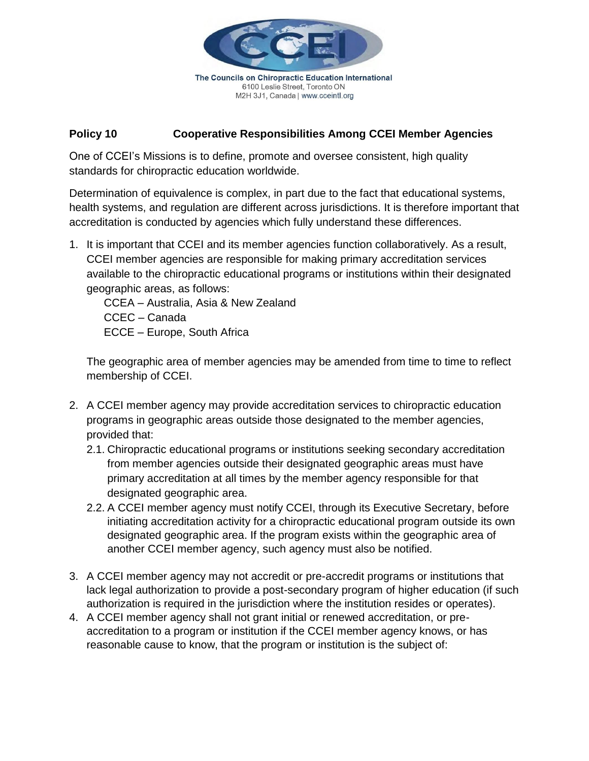

M2H 3J1, Canada | www.cceintl.org

**Policy 10 Cooperative Responsibilities Among CCEI Member Agencies**

One of CCEI's Missions is to define, promote and oversee consistent, high quality standards for chiropractic education worldwide.

Determination of equivalence is complex, in part due to the fact that educational systems, health systems, and regulation are different across jurisdictions. It is therefore important that accreditation is conducted by agencies which fully understand these differences.

1. It is important that CCEI and its member agencies function collaboratively. As a result, CCEI member agencies are responsible for making primary accreditation services available to the chiropractic educational programs or institutions within their designated geographic areas, as follows:

CCEA – Australia, Asia & New Zealand CCEC – Canada ECCE – Europe, South Africa

The geographic area of member agencies may be amended from time to time to reflect membership of CCEI.

- 2. A CCEI member agency may provide accreditation services to chiropractic education programs in geographic areas outside those designated to the member agencies, provided that:
	- 2.1. Chiropractic educational programs or institutions seeking secondary accreditation from member agencies outside their designated geographic areas must have primary accreditation at all times by the member agency responsible for that designated geographic area.
	- 2.2. A CCEI member agency must notify CCEI, through its Executive Secretary, before initiating accreditation activity for a chiropractic educational program outside its own designated geographic area. If the program exists within the geographic area of another CCEI member agency, such agency must also be notified.
- 3. A CCEI member agency may not accredit or pre-accredit programs or institutions that lack legal authorization to provide a post-secondary program of higher education (if such authorization is required in the jurisdiction where the institution resides or operates).
- 4. A CCEI member agency shall not grant initial or renewed accreditation, or preaccreditation to a program or institution if the CCEI member agency knows, or has reasonable cause to know, that the program or institution is the subject of: